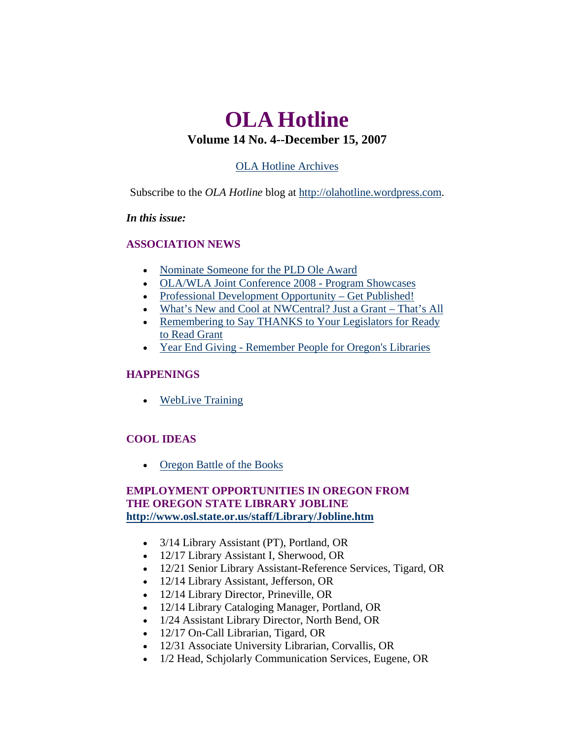# <span id="page-0-0"></span>**OLA Hotline Volume 14 No. 4--December 15, 2007**

## [OLA Hotline Archives](http://olaweb.org/hotline/index.shtml)

Subscribe to the *OLA Hotline* blog at [http://olahotline.wordpress.com.](http://olahotline.wordpress.com/)

### *In this issue:*

## **ASSOCIATION NEWS**

- [Nominate Someone for the PLD Ole Award](#page-1-0)
- [OLA/WLA Joint Conference 2008 Program Showcases](#page-1-0)
- [Professional Development Opportunity Get Published!](#page-2-0)
- [What's New and Cool at NWCentral? Just a Grant That's All](#page-3-0)
- Remembering to Say THANKS to Your Legislators for Ready [to Read Grant](#page-3-0)
- [Year End Giving Remember People for Oregon's Libraries](#page-4-0)

## **HAPPENINGS**

• [WebLive Training](#page-6-0)

## **COOL IDEAS**

• [Oregon Battle of the Books](#page-0-0)

## **EMPLOYMENT OPPORTUNITIES IN ORE[G](http://www.osl.state.or.us/staff/Library/Jobline.htm)ON FROM THE OREGON STATE LIBRARY JOBLINE <http://www.osl.state.or.us/staff/Library/Jobline.htm>**

- 3/14 Library Assistant (PT), Portland, OR
- 12/17 Library Assistant I, Sherwood, OR
- 12/21 Senior Library Assistant-Reference Services, Tigard, OR
- 12/14 Library Assistant, Jefferson, OR
- 12/14 Library Director, Prineville, OR
- 12/14 Library Cataloging Manager, Portland, OR
- 1/24 Assistant Library Director, North Bend, OR
- 12/17 On-Call Librarian, Tigard, OR
- 12/31 Associate University Librarian, Corvallis, OR
- 1/2 Head, Schjolarly Communication Services, Eugene, OR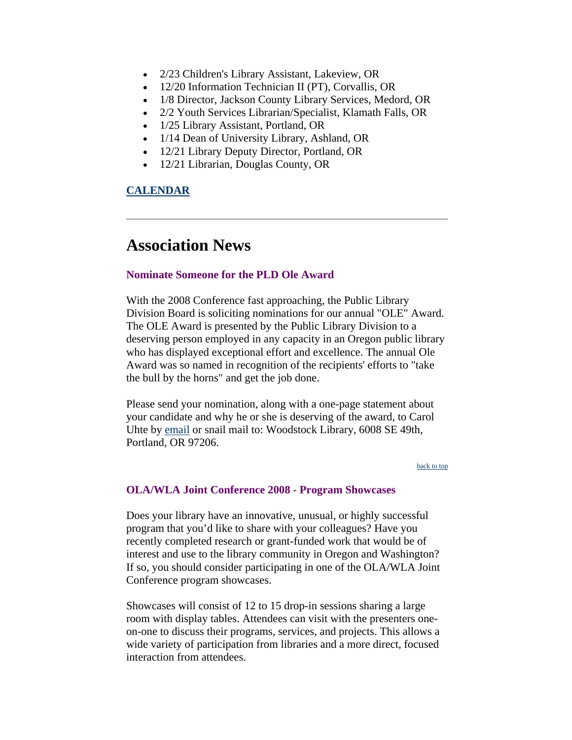- <span id="page-1-0"></span>• 2/23 Children's Library Assistant, Lakeview, OR
- 12/20 Information Technician II (PT), Corvallis, OR
- 1/8 Director, Jackson County Library Services, Medord, OR
- 2/2 Youth Services Librarian/Specialist, Klamath Falls, OR
- 1/25 Library Assistant, Portland, OR
- 1/14 Dean of University Library, Ashland, OR
- 12/21 Library Deputy Director, Portland, OR
- 12/21 Librarian, Douglas County, OR

## **[CALENDAR](http://web.memberclicks.com/mc/community/vieweventcalendar.do?orgId=ola)**

## **Association News**

### **Nominate Someone for the PLD Ole Award**

With the 2008 Conference fast approaching, the Public Library Division Board is soliciting nominations for our annual "OLE" Award. The OLE Award is presented by the Public Library Division to a deserving person employed in any capacity in an Oregon public library who has displayed exceptional effort and excellence. The annual Ole Award was so named in recognition of the recipients' efforts to "take the bull by the horns" and get the job done.

Please send your nomination, along with a one-page statement about your candidate and why he or she is deserving of the award, to Carol Uhte by [email](mailto:carolu@multcolib.org) or snail mail to: Woodstock Library, 6008 SE 49th, Portland, OR 97206.

#### [back to top](#page-0-0)

### **OLA/WLA Joint Conference 2008 - Program Showcases**

Does your library have an innovative, unusual, or highly successful program that you'd like to share with your colleagues? Have you recently completed research or grant-funded work that would be of interest and use to the library community in Oregon and Washington? If so, you should consider participating in one of the OLA/WLA Joint Conference program showcases.

Showcases will consist of 12 to 15 drop-in sessions sharing a large room with display tables. Attendees can visit with the presenters oneon-one to discuss their programs, services, and projects. This allows a wide variety of participation from libraries and a more direct, focused interaction from attendees.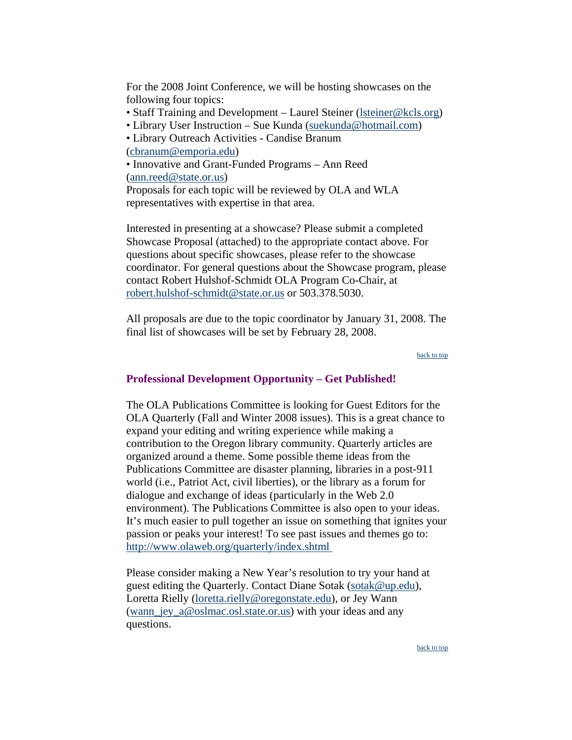<span id="page-2-0"></span>For the 2008 Joint Conference, we will be hosting showcases on the following four topics:

- Staff Training and Development Laurel Steiner (Isteiner@kcls.org)
- Library User Instruction Sue Kunda [\(suekunda@hotmail.com\)](mailto:suekunda@hotmail.com)
- Library Outreach Activities Candise Branum [\(cbranum@emporia.edu\)](mailto:cbranum@emporia.edu)

• Innovative and Grant-Funded Programs – Ann Reed [\(ann.reed@state.or.us\)](mailto:ann.reed@state.or.us)

Proposals for each topic will be reviewed by OLA and WLA representatives with expertise in that area.

Interested in presenting at a showcase? Please submit a completed Showcase Proposal (attached) to the appropriate contact above. For questions about specific showcases, please refer to the showcase coordinator. For general questions about the Showcase program, please contact Robert Hulshof-Schmidt OLA Program Co-Chair, at [robert.hulshof-schmidt@state.or.us](mailto:robert.hulshof-schmidt@state.or.us) or 503.378.5030.

All proposals are due to the topic coordinator by January 31, 2008. The final list of showcases will be set by February 28, 2008.

#### [back to top](#page-0-0)

### **Professional Development Opportunity – Get Published!**

The OLA Publications Committee is looking for Guest Editors for the OLA Quarterly (Fall and Winter 2008 issues). This is a great chance to expand your editing and writing experience while making a contribution to the Oregon library community. Quarterly articles are organized around a theme. Some possible theme ideas from the Publications Committee are disaster planning, libraries in a post-911 world (i.e., Patriot Act, civil liberties), or the library as a forum for dialogue and exchange of ideas (particularly in the Web 2.0 environment). The Publications Committee is also open to your ideas. It's much easier to pull together an issue on something that ignites your passion or peaks your interest! To see past issues and themes go to: <http://www.olaweb.org/quarterly/index.shtml>

Please consider making a New Year's resolution to try your hand at guest editing the Quarterly. Contact Diane Sotak ([sotak@up.edu](mailto:sotak@up.edu)), Loretta Rielly [\(loretta.rielly@oregonstate.edu\)](mailto:loretta.rielly@oregonstate.edu), or Jey Wann [\(wann\\_jey\\_a@oslmac.osl.state.or.us\)](mailto:wann_jey_a@oslmac.osl.state.or.us) with your ideas and any questions.

[back to top](#page-0-0)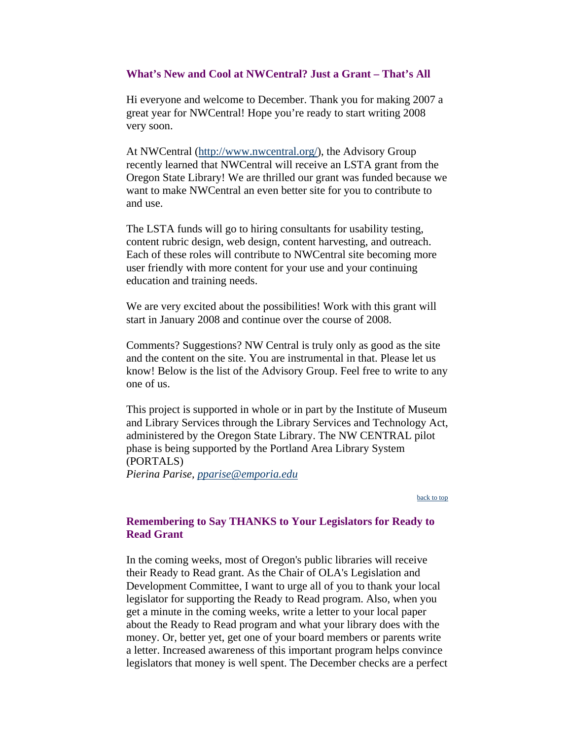### <span id="page-3-0"></span>**What's New and Cool at NWCentral? Just a Grant – That's All**

Hi everyone and welcome to December. Thank you for making 2007 a great year for NWCentral! Hope you're ready to start writing 2008 very soon.

At NWCentral ([http://www.nwcentral.org/\)](http://www.nwcentral.org/), the Advisory Group recently learned that NWCentral will receive an LSTA grant from the Oregon State Library! We are thrilled our grant was funded because we want to make NWCentral an even better site for you to contribute to and use.

The LSTA funds will go to hiring consultants for usability testing, content rubric design, web design, content harvesting, and outreach. Each of these roles will contribute to NWCentral site becoming more user friendly with more content for your use and your continuing education and training needs.

We are very excited about the possibilities! Work with this grant will start in January 2008 and continue over the course of 2008.

Comments? Suggestions? NW Central is truly only as good as the site and the content on the site. You are instrumental in that. Please let us know! Below is the list of the Advisory Group. Feel free to write to any one of us.

This project is supported in whole or in part by the Institute of Museum and Library Services through the Library Services and Technology Act, administered by the Oregon State Library. The NW CENTRAL pilot phase is being supported by the Portland Area Library System (PORTALS) *Pierina Parise, [pparise@emporia.edu](mailto:pparise@emporia.edu)*

[back to top](#page-0-0)

## **Remembering to Say THANKS to Your Legislators for Ready to Read Grant**

In the coming weeks, most of Oregon's public libraries will receive their Ready to Read grant. As the Chair of OLA's Legislation and Development Committee, I want to urge all of you to thank your local legislator for supporting the Ready to Read program. Also, when you get a minute in the coming weeks, write a letter to your local paper about the Ready to Read program and what your library does with the money. Or, better yet, get one of your board members or parents write a letter. Increased awareness of this important program helps convince legislators that money is well spent. The December checks are a perfect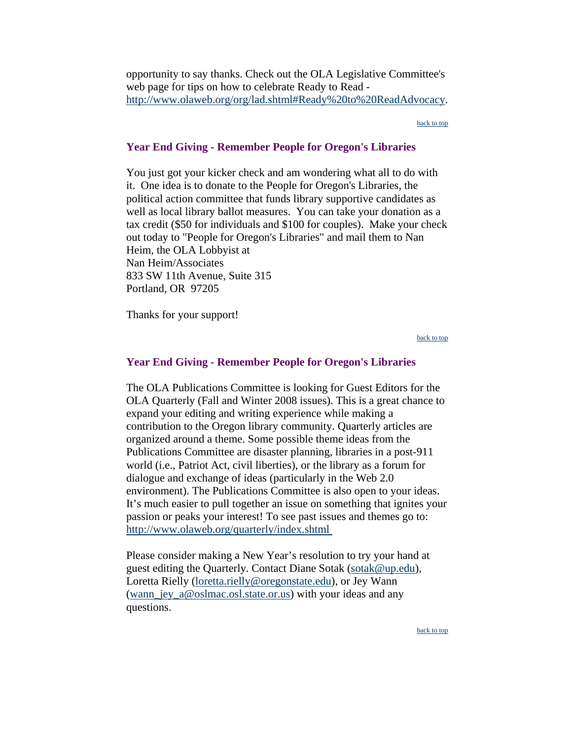<span id="page-4-0"></span>opportunity to say thanks. Check out the OLA Legislative Committee's web page for tips on how to celebrate Ready to Read [http://www.olaweb.org/org/lad.shtml#Ready%20to%20ReadAdvocacy.](http://www.olaweb.org/org/lad.shtml#Ready%20to%20ReadAdvocacy)

[back to top](#page-0-0)

#### **Year End Giving - Remember People for Oregon's Libraries**

You just got your kicker check and am wondering what all to do with it. One idea is to donate to the People for Oregon's Libraries, the political action committee that funds library supportive candidates as well as local library ballot measures. You can take your donation as a tax credit (\$50 for individuals and \$100 for couples). Make your check out today to "People for Oregon's Libraries" and mail them to Nan Heim, the OLA Lobbyist at Nan Heim/Associates 833 SW 11th Avenue, Suite 315 Portland, OR 97205

Thanks for your support!

[back to top](#page-0-0)

#### **Year End Giving - Remember People for Oregon's Libraries**

The OLA Publications Committee is looking for Guest Editors for the OLA Quarterly (Fall and Winter 2008 issues). This is a great chance to expand your editing and writing experience while making a contribution to the Oregon library community. Quarterly articles are organized around a theme. Some possible theme ideas from the Publications Committee are disaster planning, libraries in a post-911 world (i.e., Patriot Act, civil liberties), or the library as a forum for dialogue and exchange of ideas (particularly in the Web 2.0 environment). The Publications Committee is also open to your ideas. It's much easier to pull together an issue on something that ignites your passion or peaks your interest! To see past issues and themes go to: <http://www.olaweb.org/quarterly/index.shtml>

Please consider making a New Year's resolution to try your hand at guest editing the Quarterly. Contact Diane Sotak ([sotak@up.edu](mailto:sotak@up.edu)), Loretta Rielly [\(loretta.rielly@oregonstate.edu\)](mailto:loretta.rielly@oregonstate.edu), or Jey Wann (wann jey  $a@oslmac.osl. state. or.us)$  with your ideas and any questions.

[back to top](#page-0-0)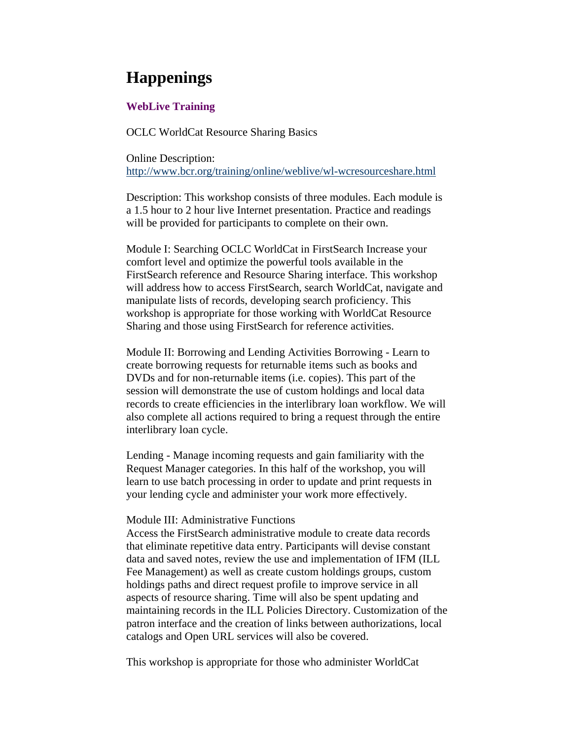# **Happenings**

### **WebLive Training**

OCLC WorldCat Resource Sharing Basics

Online Description: <http://www.bcr.org/training/online/weblive/wl-wcresourceshare.html>

Description: This workshop consists of three modules. Each module is a 1.5 hour to 2 hour live Internet presentation. Practice and readings will be provided for participants to complete on their own.

Module I: Searching OCLC WorldCat in FirstSearch Increase your comfort level and optimize the powerful tools available in the FirstSearch reference and Resource Sharing interface. This workshop will address how to access FirstSearch, search WorldCat, navigate and manipulate lists of records, developing search proficiency. This workshop is appropriate for those working with WorldCat Resource Sharing and those using FirstSearch for reference activities.

Module II: Borrowing and Lending Activities Borrowing - Learn to create borrowing requests for returnable items such as books and DVDs and for non-returnable items (i.e. copies). This part of the session will demonstrate the use of custom holdings and local data records to create efficiencies in the interlibrary loan workflow. We will also complete all actions required to bring a request through the entire interlibrary loan cycle.

Lending - Manage incoming requests and gain familiarity with the Request Manager categories. In this half of the workshop, you will learn to use batch processing in order to update and print requests in your lending cycle and administer your work more effectively.

#### Module III: Administrative Functions

Access the FirstSearch administrative module to create data records that eliminate repetitive data entry. Participants will devise constant data and saved notes, review the use and implementation of IFM (ILL Fee Management) as well as create custom holdings groups, custom holdings paths and direct request profile to improve service in all aspects of resource sharing. Time will also be spent updating and maintaining records in the ILL Policies Directory. Customization of the patron interface and the creation of links between authorizations, local catalogs and Open URL services will also be covered.

This workshop is appropriate for those who administer WorldCat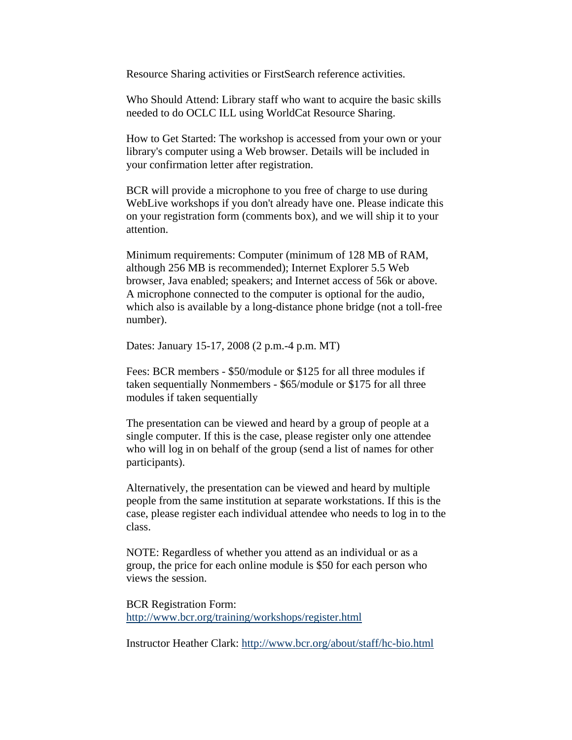<span id="page-6-0"></span>Resource Sharing activities or FirstSearch reference activities.

Who Should Attend: Library staff who want to acquire the basic skills needed to do OCLC ILL using WorldCat Resource Sharing.

How to Get Started: The workshop is accessed from your own or your library's computer using a Web browser. Details will be included in your confirmation letter after registration.

BCR will provide a microphone to you free of charge to use during WebLive workshops if you don't already have one. Please indicate this on your registration form (comments box), and we will ship it to your attention.

Minimum requirements: Computer (minimum of 128 MB of RAM, although 256 MB is recommended); Internet Explorer 5.5 Web browser, Java enabled; speakers; and Internet access of 56k or above. A microphone connected to the computer is optional for the audio, which also is available by a long-distance phone bridge (not a toll-free number).

Dates: January 15-17, 2008 (2 p.m.-4 p.m. MT)

Fees: BCR members - \$50/module or \$125 for all three modules if taken sequentially Nonmembers - \$65/module or \$175 for all three modules if taken sequentially

The presentation can be viewed and heard by a group of people at a single computer. If this is the case, please register only one attendee who will log in on behalf of the group (send a list of names for other participants).

Alternatively, the presentation can be viewed and heard by multiple people from the same institution at separate workstations. If this is the case, please register each individual attendee who needs to log in to the class.

NOTE: Regardless of whether you attend as an individual or as a group, the price for each online module is \$50 for each person who views the session.

BCR Registration Form: <http://www.bcr.org/training/workshops/register.html>

Instructor Heather Clark: <http://www.bcr.org/about/staff/hc-bio.html>